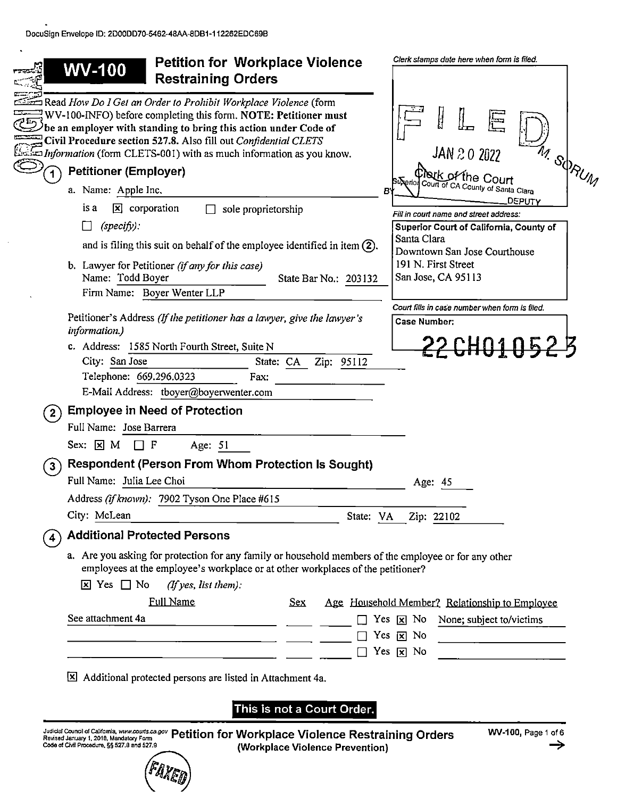$\ddot{\phantom{a}}$ 

|                | <b>Petition for Workplace Violence</b><br><b>WV-100</b><br><b>Restraining Orders</b>                                                                                                                                                                                                                                                                               | Clerk stamps date here when form is filed.                                                                                                          |
|----------------|--------------------------------------------------------------------------------------------------------------------------------------------------------------------------------------------------------------------------------------------------------------------------------------------------------------------------------------------------------------------|-----------------------------------------------------------------------------------------------------------------------------------------------------|
|                | Read How Do I Get an Order to Prohibit Workplace Violence (form<br>$\exists$ WV-100-INFO) before completing this form. NOTE: Petitioner must<br>$\lambda$ be an employer with standing to bring this action under Code of<br>Civil Procedure section 527.8. Also fill out Confidential CLETS<br>Information (form CLETS-001) with as much information as you know. | H<br>JAN 20 2022<br>M. SORUM                                                                                                                        |
|                | <b>Petitioner (Employer)</b>                                                                                                                                                                                                                                                                                                                                       | thack of the Court                                                                                                                                  |
|                | a. Name: Apple Inc.                                                                                                                                                                                                                                                                                                                                                | Buxeriol Court of CA County of Santa Clara<br>в                                                                                                     |
|                | $\mathbf{X}$ corporation<br>is a<br>sole proprietorship<br>$(specify)$ :<br>$\mathsf{L}$<br>and is filing this suit on behalf of the employee identified in item $(2)$ .                                                                                                                                                                                           | DEPUTY<br>Fill in court name and street address:<br>Superior Court of California, County of<br>Santa Clara                                          |
|                | b. Lawyer for Petitioner (if any for this case)<br>Name: Todd Boyer<br>State Bar No.: 203132<br>Firm Name: Boyer Wenter LLP                                                                                                                                                                                                                                        | Downtown San Jose Courthouse<br>191 N. First Street<br>San Jose, CA 95113                                                                           |
|                | Petitioner's Address (If the petitioner has a lawyer, give the lawyer's                                                                                                                                                                                                                                                                                            | Court fills in case number when form is filed.<br><b>Case Number:</b>                                                                               |
|                | information.)                                                                                                                                                                                                                                                                                                                                                      |                                                                                                                                                     |
|                | c. Address: 1585 North Fourth Street, Suite N<br>City: San Jose<br>Zip: 95112<br>State: CA<br>Telephone: 669.296.0323<br>Fax:                                                                                                                                                                                                                                      | <u>22 CHO1 052 B</u>                                                                                                                                |
|                | E-Mail Address: tboyer@boyerwenter.com                                                                                                                                                                                                                                                                                                                             |                                                                                                                                                     |
| $\mathbf{2}$   | <b>Employee in Need of Protection</b><br>Full Name: Jose Barrera                                                                                                                                                                                                                                                                                                   |                                                                                                                                                     |
|                | $Sex: \n  \boxtimes M$<br>□F                                                                                                                                                                                                                                                                                                                                       |                                                                                                                                                     |
|                | Age: 51                                                                                                                                                                                                                                                                                                                                                            |                                                                                                                                                     |
| 3 <sup>1</sup> | Respondent (Person From Whom Protection Is Sought)<br>Full Name: Julia Lee Choi                                                                                                                                                                                                                                                                                    |                                                                                                                                                     |
|                |                                                                                                                                                                                                                                                                                                                                                                    | Age: 45                                                                                                                                             |
|                | Address (if known): 7902 Tyson One Place #615                                                                                                                                                                                                                                                                                                                      |                                                                                                                                                     |
|                | City: McLean                                                                                                                                                                                                                                                                                                                                                       | State: VA     Zip: 22102                                                                                                                            |
|                | <b>Additional Protected Persons</b>                                                                                                                                                                                                                                                                                                                                |                                                                                                                                                     |
|                | a. Are you asking for protection for any family or household members of the employee or for any other<br>employees at the employee's workplace or at other workplaces of the petitioner?<br>$\overline{x}$ Yes $\Box$ No<br>(If yes, list them):                                                                                                                   |                                                                                                                                                     |
|                | <b>Full Name</b><br>Sex                                                                                                                                                                                                                                                                                                                                            | Age Household Member? Relationship to Employee                                                                                                      |
|                | See attachment 4a                                                                                                                                                                                                                                                                                                                                                  | Yes $\boxed{\mathbf{x}}$ No<br>None; subject to/victims                                                                                             |
|                |                                                                                                                                                                                                                                                                                                                                                                    | Yes $\boxed{\mathbf{x}}$ No<br><u> 1989 - Jan Stein Stein Stein Stein Stein Stein Stein Stein Stein Stein Stein Stein Stein Stein Stein Stein S</u> |
|                |                                                                                                                                                                                                                                                                                                                                                                    | Yes $\boxed{\mathbf{x}}$ No                                                                                                                         |
|                |                                                                                                                                                                                                                                                                                                                                                                    |                                                                                                                                                     |

This is not a Court Order.

Jugicial Council of Caincima, www.couns.ca.gov Petition for Workplace Violence Restraining Orders  $\frac{1}{2}$ Code of Civil Procedure, §§ 527.8 and 527.9 (Workplace Violence Prevention)

Wé'g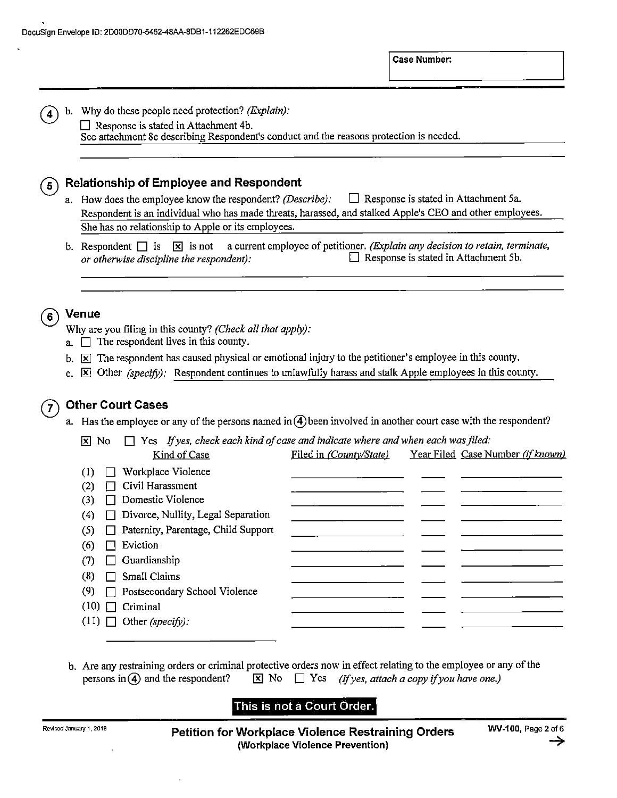b. Why do these people need protection? (*Explain*):

 $\Box$  Response is stated in Attachment 4b. See attachment 8c describing Respondent's conduct and the reasons protection is needed.

### Relationship of Employee and Respondent  $\overline{5}$

a. How does the employee know the respondent? (Describe):  $\Box$  Response is stated in Attachment 5a. Respondent is an individual who has made threats, harassed, and stalked Apple's CEO and other employees. She has no relationship to Apple or its employees.

b. Respondent  $\Box$  is  $\Box$  is not a current employee of petitioner. (Explain any decision to retain, terminate, or otherwise discipline the respondent):  $\Box$  Response is stated in Attachment 5b.

#### Venue  $6^{\circ}$

4

Why are you filing in this county? (Check all that apply):

- a.  $\Box$  The respondent lives in this county.
- b.  $|\mathbf{x}|$  The respondent has caused physical or emotional injury to the petitioner's employee in this county.
- c.  $\overline{X}$  Other (specify): Respondent continues to unlawfully harass and stalk Apple employees in this county.

### Other Court Cases 7

a. Has the employee or any of the persons named in  $\overline{4}$  been involved in another court case with the respondent?

 $\overline{X}$  No  $\Box$  Yes If yes, check each kind of case and indicate where and when each was filed:

|     | Kind of Case                              | Filed in (County/State) | Year Filed Case Number (if known) |
|-----|-------------------------------------------|-------------------------|-----------------------------------|
| (1) | Workplace Violence                        |                         |                                   |
| (2) | Civil Harassment                          |                         |                                   |
| (3) | $\Box$ Domestic Violence                  |                         |                                   |
| (4) | $\Box$ Divorce, Nullity, Legal Separation |                         |                                   |
| (5) | □ Paternity, Parentage, Child Support     |                         |                                   |
| (6) | Eviction                                  |                         |                                   |
| (7) | Guardianship                              |                         |                                   |
| (8) | Small Claims                              |                         |                                   |
| (9) | □ Postsecondary School Violence           |                         |                                   |
|     | $(10)$ $\Box$ Criminal                    |                         |                                   |
|     | $(11)$ Other (specify):                   |                         |                                   |

b. Are any restraining orders or criminal protective orders now in effect relating to the employee or any of the persons in (4) and the respondent?  $\boxtimes$  No  $\Box$  Yes *(If yes, attach a copy if you have one.)* 

# This is not a Court Order. I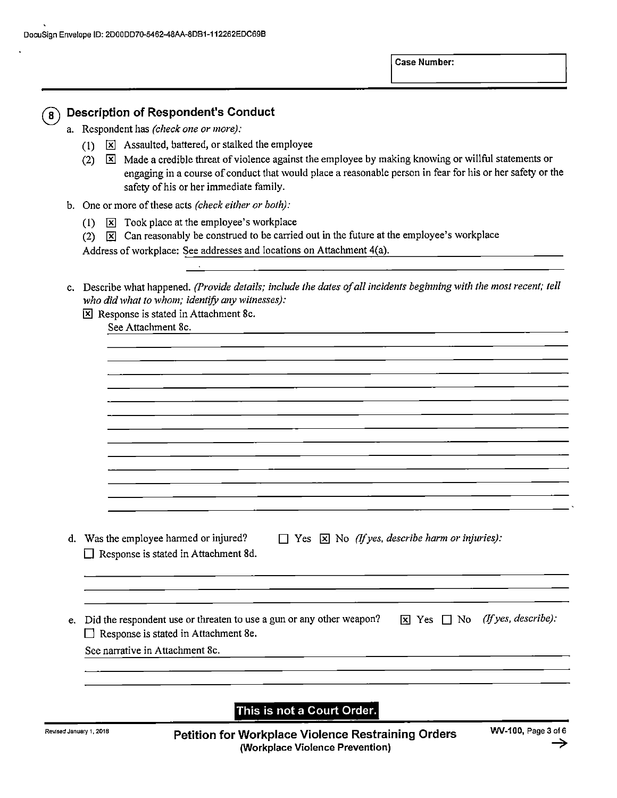

## Description of Respondent's Conduct

- a. Respondent has (check one or more):
	- (1)  $\overline{X}$  Assaulted, battered, or stalked the employee
	- (2)  $\boxed{\times}$  Made a credible threat of violence against the employee by making knowing or willful statements or engaging in a course of conduct that would place a reasonable person in fear for his or her safety or the safety of his or her immediate family.
- b. One or more of these acts (check either or both):
	- (1)  $\overline{X}$  Took place at the employee's workplace
	- $(2)$   $\boxed{\mathbf{X}}$  Can reasonably be construed to be carried out in the future at the employee's workplace

Address of workplace: See addresses and locations 0n Attachment 4(a).

c. Describe what happened. (Provide details; include the dates of all incidents beginning with the most recent; tell who did what to whom; identify any witnesses):

|   | See Attachment 8c.                                                                                                       |
|---|--------------------------------------------------------------------------------------------------------------------------|
|   |                                                                                                                          |
|   |                                                                                                                          |
|   |                                                                                                                          |
|   |                                                                                                                          |
|   |                                                                                                                          |
|   |                                                                                                                          |
|   |                                                                                                                          |
|   |                                                                                                                          |
|   |                                                                                                                          |
|   | d. Was the employee harmed or injured?<br>$\Box$ Yes $\boxtimes$ No (If yes, describe harm or injuries):                 |
| ப | Response is stated in Attachment 8d.                                                                                     |
|   |                                                                                                                          |
|   |                                                                                                                          |
|   | (If yes, describe):<br>e. Did the respondent use or threaten to use a gun or any other weapon?<br>$\times$ Yes $\Box$ No |
| Ш | Response is stated in Attachment 8e.                                                                                     |
|   | See narrative in Attachment 8c.                                                                                          |

This is not a Court Order.

Revised January 1, 2018 **Example 2 Concrete Petition for Workplace Violence Restraining Orders WV-100, Page 3 of** (Workplace Violence Prevention)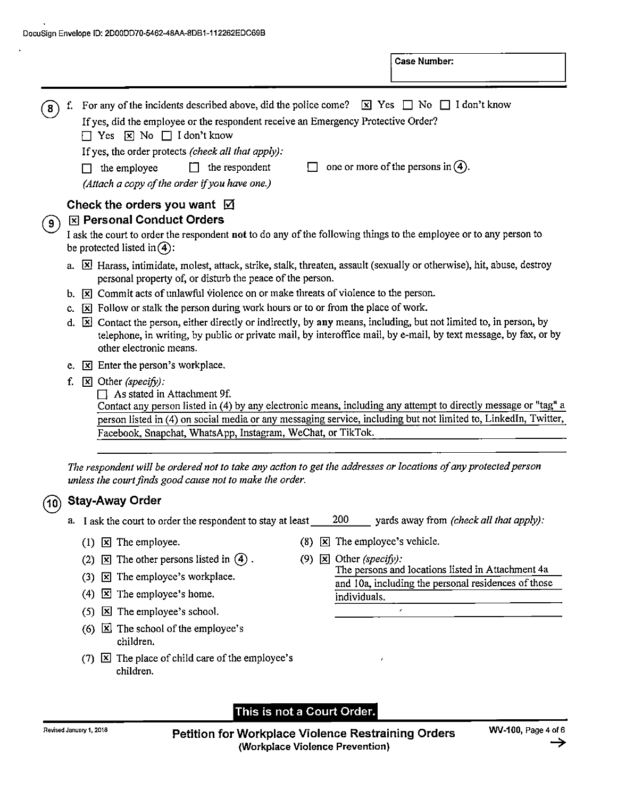|     |    | For any of the incidents described above, did the police come? $\boxed{\times}$ Yes $\boxed{\phantom{0}}$ No $\boxed{\phantom{0}}$ I don't know                                                                                                                          |
|-----|----|--------------------------------------------------------------------------------------------------------------------------------------------------------------------------------------------------------------------------------------------------------------------------|
|     |    | If yes, did the employee or the respondent receive an Emergency Protective Order?<br>$\Box$ Yes $\boxtimes$ No $\Box$ I don't know                                                                                                                                       |
|     |    | If yes, the order protects (check all that apply):                                                                                                                                                                                                                       |
|     |    | one or more of the persons in $(4)$ .<br>$\Box$ the respondent<br>the employee<br>П                                                                                                                                                                                      |
|     |    | (Attach a copy of the order if you have one.)                                                                                                                                                                                                                            |
|     |    | Check the orders you want $\boxtimes$                                                                                                                                                                                                                                    |
| ် 9 |    | <b>X Personal Conduct Orders</b>                                                                                                                                                                                                                                         |
|     |    | I ask the court to order the respondent not to do any of the following things to the employee or to any person to<br>be protected listed in $\overline{4}$ :                                                                                                             |
|     |    | a. [X] Harass, intimidate, molest, attack, strike, stalk, threaten, assault (sexually or otherwise), hit, abuse, destroy<br>personal property of, or disturb the peace of the person.                                                                                    |
|     | b. | $\overline{x}$ Commit acts of unlawful violence on or make threats of violence to the person.                                                                                                                                                                            |
|     | c. | $\boxed{\mathbf{x}}$ Follow or stalk the person during work hours or to or from the place of work.                                                                                                                                                                       |
|     | d. | $\boxtimes$ Contact the person, either directly or indirectly, by any means, including, but not limited to, in person, by<br>telephone, in writing, by public or private mail, by interoffice mail, by e-mail, by text message, by fax, or by<br>other electronic means. |
|     | е. | $\boxed{\mathbf{x}}$ Enter the person's workplace.                                                                                                                                                                                                                       |
|     | f. | $\boxtimes$ Other (specify):<br>As stated in Attachment 9f.<br>Contact any person listed in (4) by any electronic means, including any attempt to directly message or "tag" a                                                                                            |
|     |    | person listed in (4) on social media or any messaging service, including but not limited to, LinkedIn, Twitter,                                                                                                                                                          |
|     |    | Facebook, Snapchat, WhatsApp, Instagram, WeChat, or TikTok.                                                                                                                                                                                                              |
|     |    |                                                                                                                                                                                                                                                                          |

The respondent will be ordered not to take any action to get the addresses or locations of any protected person unless the court finds good cause not to make the order.

# (10) Stay-Away Order

- a. I ask the court to order the respondent to stay at least <u>200</u> yards away from *(check all that apply)*:
	-
	- (2)  $\boxed{\times}$  The other persons listed in (4). (9)  $\boxed{\times}$  Other (specify):
	- (3)  $\boxed{\mathbf{x}}$  The employee's workplace.
	- (4)  $\boxed{\times}$  The employee's home. individuals.
	- (5)  $\boxtimes$  The employee's school.
	- (6)  $\boxtimes$  The school of the employee's children.
	- (7)  $\boxed{\times}$  The place of child care of the employee's children.

- (1)  $\boxed{\mathbf{x}}$  The employee. (8)  $\boxed{\mathbf{x}}$  The employee's vehicle.
	- The persons and locations listed in Attachment 4a and 10a, including the personal residences of those  $\mathbf{z}$

# This is not a Court Order.

Petition for Workplace Violence Restraining Orders (Workplace Violence Prevention) '9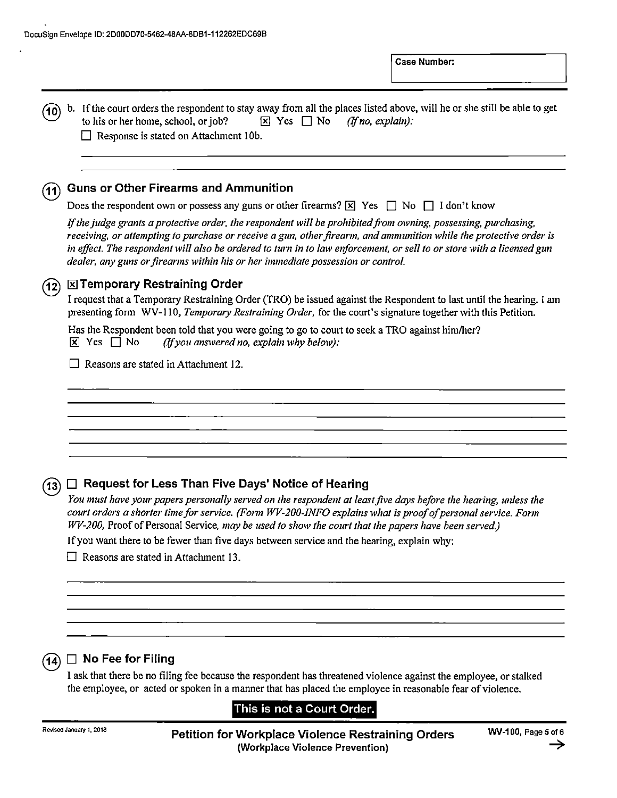| 10                        | b. If the court orders the respondent to stay away from all the places listed above, will he or she still be able to get<br>to his or her home, school, or job?<br>$\boxtimes$ Yes $\Box$ No<br>(If no, explain):                                                                                                                                                                                                                                                           |
|---------------------------|-----------------------------------------------------------------------------------------------------------------------------------------------------------------------------------------------------------------------------------------------------------------------------------------------------------------------------------------------------------------------------------------------------------------------------------------------------------------------------|
|                           | Response is stated on Attachment 10b.<br>$\mathsf{I}$                                                                                                                                                                                                                                                                                                                                                                                                                       |
|                           |                                                                                                                                                                                                                                                                                                                                                                                                                                                                             |
|                           |                                                                                                                                                                                                                                                                                                                                                                                                                                                                             |
| (11)                      | <b>Guns or Other Firearms and Ammunition</b>                                                                                                                                                                                                                                                                                                                                                                                                                                |
|                           | Does the respondent own or possess any guns or other firearms? $\boxed{\mathbb{X}}$ Yes $\boxed{\phantom{1}}$ No $\boxed{\phantom{1}}$ I don't know                                                                                                                                                                                                                                                                                                                         |
|                           | If the judge grants a protective order, the respondent will be prohibited from owning, possessing, purchasing,<br>receiving, or attempting to purchase or receive a gun, other firearm, and ammunition while the protective order is<br>in effect. The respondent will also be ordered to turn in to law enforcement, or sell to or store with a licensed gun<br>dealer, any guns or firearms within his or her immediate possession or control.                            |
| (12)                      | ⊠ Temporary Restraining Order                                                                                                                                                                                                                                                                                                                                                                                                                                               |
|                           | I request that a Temporary Restraining Order (TRO) be issued against the Respondent to last until the hearing. I am<br>presenting form WV-110, Temporary Restraining Order, for the court's signature together with this Petition.                                                                                                                                                                                                                                          |
|                           | Has the Respondent been told that you were going to go to court to seek a TRO against him/her?<br>$\boxed{\mathbf{x}}$ Yes $\boxed{\phantom{0}}$ No<br>$(If you answered no, explain why below):$                                                                                                                                                                                                                                                                           |
|                           | Reasons are stated in Attachment 12.                                                                                                                                                                                                                                                                                                                                                                                                                                        |
|                           |                                                                                                                                                                                                                                                                                                                                                                                                                                                                             |
|                           |                                                                                                                                                                                                                                                                                                                                                                                                                                                                             |
|                           |                                                                                                                                                                                                                                                                                                                                                                                                                                                                             |
|                           |                                                                                                                                                                                                                                                                                                                                                                                                                                                                             |
|                           |                                                                                                                                                                                                                                                                                                                                                                                                                                                                             |
|                           |                                                                                                                                                                                                                                                                                                                                                                                                                                                                             |
| $\left  13 \right\rangle$ | $\Box$ Request for Less Than Five Days' Notice of Hearing                                                                                                                                                                                                                                                                                                                                                                                                                   |
|                           | You must have your papers personally served on the respondent at least five days before the hearing, unless the<br>court orders a shorter time for service. (Form WV-200-INFO explains what is proof of personal service. Form<br>WV-200, Proof of Personal Service, may be used to show the court that the papers have been served.)<br>If you want there to be fewer than five days between service and the hearing, explain why:<br>Reasons are stated in Attachment 13. |
|                           |                                                                                                                                                                                                                                                                                                                                                                                                                                                                             |
|                           |                                                                                                                                                                                                                                                                                                                                                                                                                                                                             |
|                           |                                                                                                                                                                                                                                                                                                                                                                                                                                                                             |
|                           |                                                                                                                                                                                                                                                                                                                                                                                                                                                                             |
|                           |                                                                                                                                                                                                                                                                                                                                                                                                                                                                             |

ask that there be no filing fee because the respondent has threatened violence against the employee, or stalked the employee, or acted or spoken in a manner that has placed the employee in reasonable fear of violence.

# This is not a Court Order.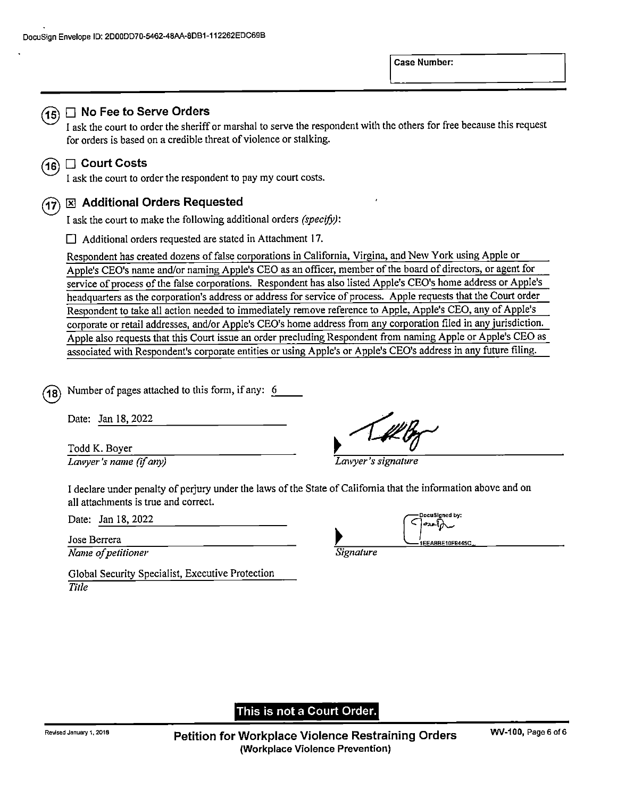

### $(15)$   $\Box$  No Fee to Serve Orders

ask the court to order the sheriff or marshal to serve the respondent with the others for free because this request for orders is based on a credible threat of violence or stalking.

# $(16)$   $\Box$  Court Costs

I ask the court to order the respondent to pay my court costs.

#### Additional Orders Requested (17

I ask the court to make the following additional orders (specify):

 $\Box$  Additional orders requested are stated in Attachment 17.

Respondent has created dozens of false corporations in California, Virgina, and New York using Apple or Apple's CEO's name and/or naming Apple's CEO as an officer, member of the board of directors, or agent for service of process of the false corporations. Respondent has also listed Apple's CEO's home address or Apple's headquarters as the corporation's address or address for service of process. Apple requests that the Court order Respondent to take all action needed to immediately remove reference to Apple, Apple's CEO, any 0f Apple's corporate or retail addresses, and/or Apple's CEO's home address from any corporation filed in any jurisdiction. Apple also requests that this Court issue an order precluding Respondent from naming Apple or Apple's CEO as associated with Respondent's corporate entities or using Apple's or Apple's CEO's address in any future filing.

Number of pages attached to this form, if any: 6  $18)$ 

Lawyer's name (if any) Lawyer's signature

Date: <u>Jan 18, 2022 .</u><br>  $\frac{1}{\text{Total K. Boyer}}$  ... Todd K. Boyer<br> *Lawyer's name (if any)* 

declare under penalty of perjury under the laws of the State of Califomia that the information above and on all attachments is true and correct.

 $\overline{\text{Name}}$  of petitioner  $\overline{\text{Square}}$ 

Global Security Specialist, Executive Protection Title

| Jan 18, 2022<br>Date: |  | DocuSigned by:<br>ີ່ືີ້ທີ່ |
|-----------------------|--|----------------------------|
| Jose Berrera          |  | 1EEABBE10F9445C            |

### This is not a Court Order.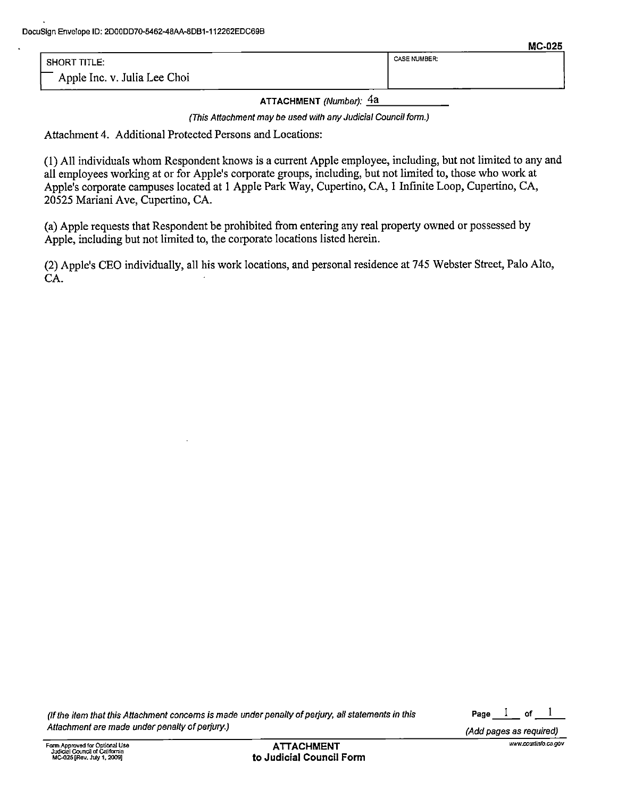|                              | --------            |
|------------------------------|---------------------|
| <b>SHORT TITLE:</b>          | <b>CASE NUMBER:</b> |
| Apple Inc. v. Julia Lee Choi |                     |

ATTACHMENT (Number): 4a

(This Attachment may be used with any Judicial Council form.)

Attachment 4. Additional Protected Persons and Locations:

(1) A11 individuals whom Respondent knows is current Apple employee, including, but not limited to any and all employees working at or for Apple's corporate groups, including, but not limited to, those who work at Apple's corporate campuses located at 1 Apple Park Way, Cupertino, CA, 1 Infinite Loop, Cupertino, CA, 20525 Mariani Ave, Cupertino, CA.

(a) Apple requests that Respondent be prohibited from entering any real property owned or possessed by Apple, including but not limited t0, the corporate locations listed herein.

(2) Apple's CEO individually, all his work locations, and personal residence at 745 Webster Street, Palo Alto, CA.

(if the item that this Attachment concerns is made under penalty of perjury, all statements in this  $\qquad \qquad \qquad$ Page  $\quad 1 \quad$  of  $\quad$ Attachment are made under penalty of perjury.) Attachment are made under the control of the control of the control of the control of the control of the control of the control of the control of the control of the control of

1

www.courtinfo.ca.gov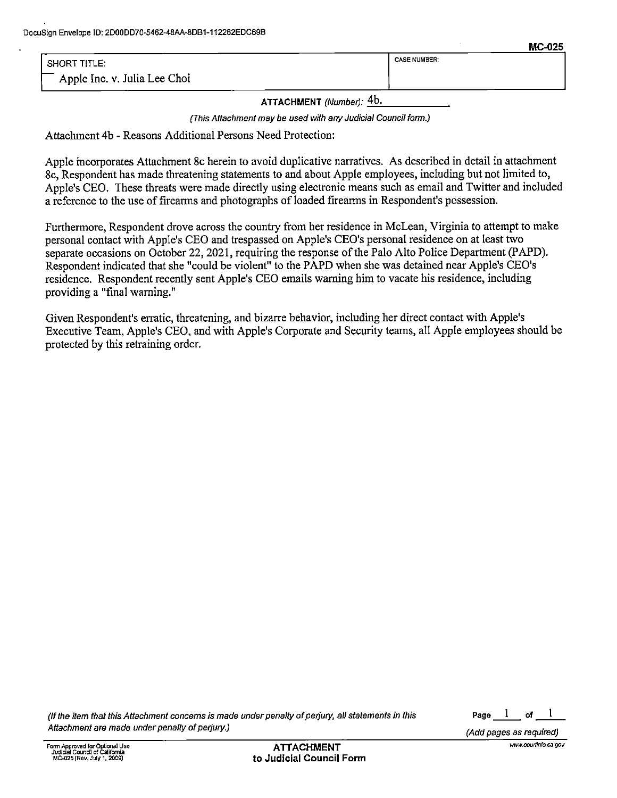| SHORT TITLE:                 | <b>CASE NUMBER:</b> |
|------------------------------|---------------------|
| Apple Inc. v. Julia Lee Choi |                     |

ATTACHMENT (Number): 4b.

(This Attachment may be used with any Judicial Council form.)

Attachment 4b - Reasons Additional Persons Need Protection:

Apple incorporates Attachment 8c herein to avoid duplicative narratives. As described in detail in attachment 8c, Respondent has made threatening statements to and about Apple employees, including but not limited to, Apple's CEO. These threats were made directly using electronic means such as email and Twitter and included reference t0 the use 0f firearms and photographs 0f loaded firearms in Respondent's possession.

Furthermore, Respondent drove across the country from her residence in McLean, Virginia to attempt to make personal contact with Apple's CEO and trespassed on Apple's CEO's personal residence 0n at [cast two separate occasions 0n October 22, 2021, requiring the response of the Palo Alto Police Department (PAPD). Respondent indicated that she "could be violent" to the PAPD when she was detained near Apple's CEO'S residence. Respondent recently sent Apple's CEO emails warning him to vacate his residence, including providing a "final warning."

Given Respondent's erratic, threatening, and bizarre behavior, including her direct contact with Apple's Executive Team, Apple's CEO, and with Apple's Corporate and Security teams, all Apple employees should be protected by this retraining order.

MC-025

www.courtinfo.ca.gov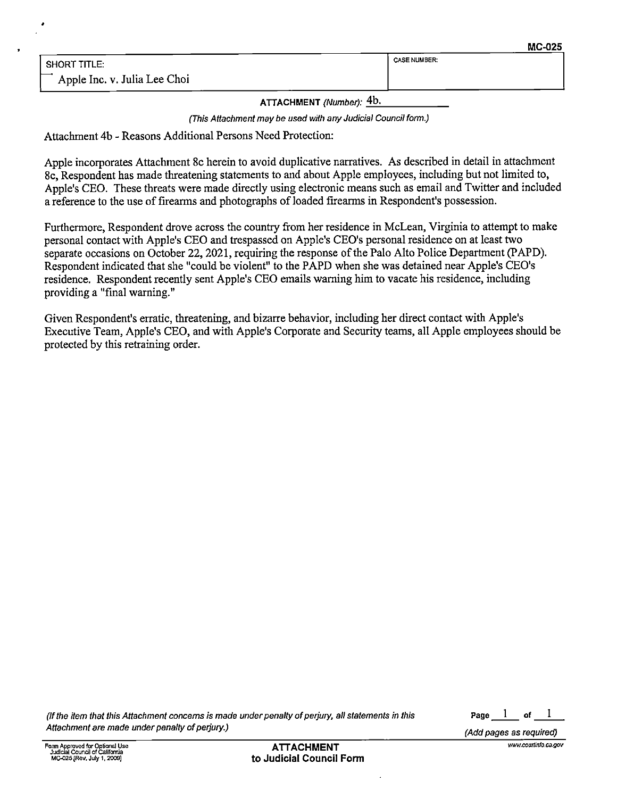ATTACHMENT (Number): 4b.

(This Attachment may be used with any Judicial Council form)

Attachment 4b - Reasons Additional Persons Need Protection:

Apple incorporates Attachment 8c herein to avoid duplicative narratives. As described in detail in attachment 8c, Respondent has made threatening statements to and about Apple employees, including but not limited t0, Apple's CEO. These threats were made directly using electronic means such as email and Twitter and included reference t0 the use of firearms and photographs of loaded fireanns in Respondent's possession.

Furthermore, Respondent drove across the country from her residence in McLean, Virginia to attempt to make personal contact with Apple's CEO and trespassed on Apple's CEO's personal residence on at least two separate occasions on October 22, 2021, requiring the response of the Palo Alto Police Department (PAPD). Respondent indicated that she "could be violent" to the PAPD when she was detained near Apple's CEO's residence. Respondent recently sent Apple's CEO emails warning him to vacate his residence, including providing a "final warning."

Given Respondent's erratic, threatening, and bizarre behavior, including her direct contact with Apple's Executive Team, Apple's CEO, and with Apple's Corporate and Security teams, all Apple employees should be protected by this retraining order.

(If the item that this Attachment concerns is made under penalty of perjury, all statements in this  $\rule{1em}{0.25mm}$  Page  $\rule{1em}{0.25mm}$  of  $\rule{1em}{0.25mm}$ Attachment are made under penalty of perjury.) Attachment are made under the control of the control of the control of the control of the control of the control of the control of the control of the control of the control of

 $\mathbf{I}$ 

Form Approved for Optional Use A'n'ACHMENT wwwcourflnracagov Judiual CouncilofCalifomia MC-025 [Rev. July 1, 2009] **to Judicial Council Form**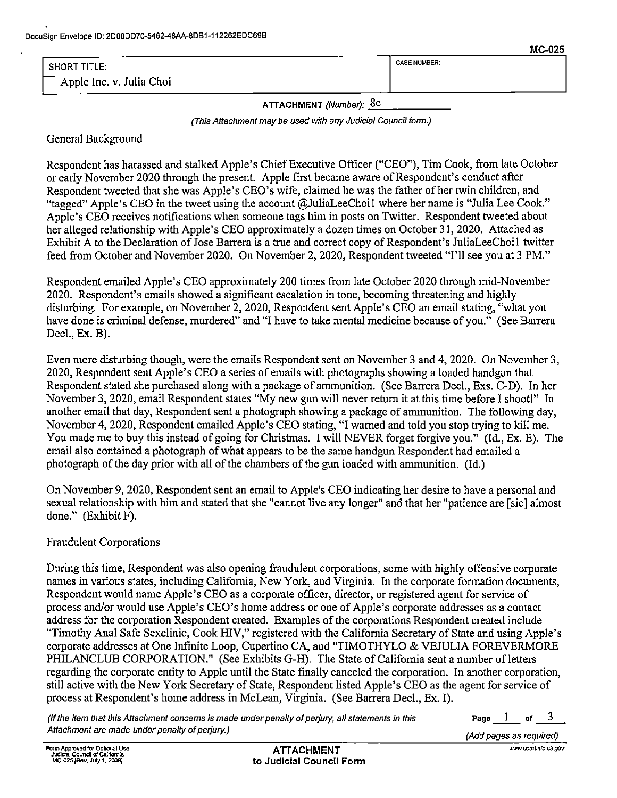|                           | .                   |
|---------------------------|---------------------|
| <sup>1</sup> SHORT TITLE: | <b>CASE NUMBER:</b> |
| Apple Inc. v. Julia Choi  |                     |

ATTACHMENT (Number): 8C

(This Attachment may be used with any Judicial Council form.)

General Background

Respondent has harassed and stalked Apple's Chief Executive Officer ("CEO"), Tim Cook, from late October or early November 2020 through the present. Apple first became aware 0f Respondent's conduct after Respondent tweeted that she was Apple's CEO's wife, claimed he was the father of her twin children, and "tagged" Apple's CEO in the tweet using the account @JuliaLeeChoil where her name is "Julia Lee Cook." Apple's CEO receives notifications when someone tags him in posts on Twitter. Respondent tweeted about her alleged relationship with Apple's CEO approximately a dozen times on October 31, 2020. Attached as Exhibit A to the Declaration of Jose Barrera is a true and correct copy of Respondent's JuliaLeeChoil twitter feed from October and November 2020. On November 2, 2020, Respondent tweeted "I'll see you at 3 PM."

Respondent emailed Apple's CEO approximately 200 times from late October 2020 through mid-November 2020. Respondent's emails showed a significant escalation in tone, becoming threatening and highly disturbing. For example, on November 2, 2020, Respondent sent Apple's CEO an email stating, "what you have done is criminal defense, murdered" and "I have to take mental medicine because of you." (See Barrera Decl., Ex. B).

Even more disturbing though, were the emails Respondent sent on November 3 and 4, 2020. On November 3, 2020, Respondent sent Apple's CEO a series of emails with photographs showing a loaded handgun that Respondent stated she purchased along with a package of ammunition. (See Barrera Decl., Exs. C-D). In her November 3, 2020, email Respondent states "My new gun will never return it at this time before I shoot!" In another email that day, Respondent sent a photograph showing a package of ammunition. The following day, November 4, 2020, Respondent emailed Apple's CEO stating, "I warned and told you stop trying t0 kill me. You made me to buy this instead of going for Christmas. I will NEVER forget forgive you." (Id., Ex. E). The email also contained a photograph of what appears to be the same handgun Respondent had emailed a photograph of the day prior with all of the chambers of the gun loaded with ammunition. (Id.)

On November 9, 2020, Respondent sent an email to Apple's CEO indicating her desire to have a personal and sexual relationship with him and stated that she "cannot live any longer" and that her "patience are [sic] almost done." (Exhibit F).

## Fraudulent Corporations

During this time, Respondent was also opening fraudulent corporations, some with highly offensive corporate names in various states, including California, New York, and Virginia. In the corporate formation documents, Respondent would name Apple's CEO as a corporate officer, director, or registered agent for service of process and/or would use Apple's CEO's home address or one of Apple's corporate addresses as a contact address for the corporation Respondent created. Examples of the corporations Respondent created include "Timothy Anal Safe Sexclinic, Cook HIV," registered with the California Secretary of State and using Apple's corporate addresses at One Infinite Loop, Cupertino CA, and "TIMOTHYLO & VEJULIA FOREVERMORE PHILANCLUB CORPORATION." (See Exhibits G-H). The State of California sent a number of letters regarding the corporate entity to Apple until the State finally canceled the corporation. In another corporation, still active with the New York Secretary 0f State, Respondent listed Apple's CEO as the agent for service of process at Respondent's home address in McLean, Virginia. (See Barrera Decl., Ex. I).

(If the item that this Attachment concerns is made under penalty of perjury, all statements in this  $\qquad \qquad$  Page  $\qquad$   $\! 1$  of Attachment are made under penalty of perjury.) Attachment are made understanding the control of the control of

3

MC-025

www.courtinfo.ca.gov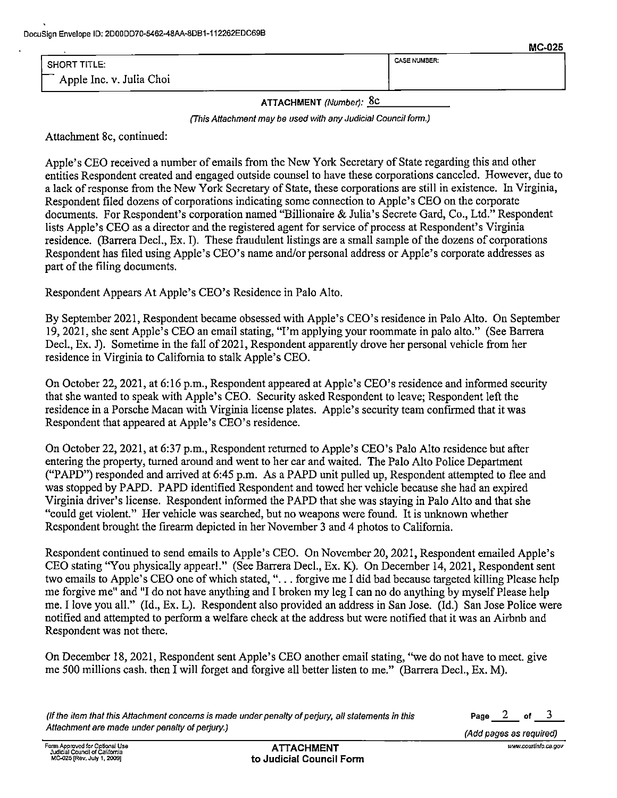|                          | -------             |
|--------------------------|---------------------|
| SHORT TITLE:             | <b>CASE NUMBER:</b> |
| Apple Inc. v. Julia Choi |                     |

ATTACHMENT (Number): 8c

(This Attachment may be used with any Judicial Council form.)

Attachment 8c, continued:

Apple's CEO received a number of emails from the New York Secretary of State regarding this and other entities Respondent created and engaged outside counsel to have these corporations canceled. However, due to a lack of response from the New York Secretary of State, these corporations are still in existence. In Virginia, Respondent filed dozens of corporations indicating some connection to Apple's CEO on the corporate documents. For Respondent's corporation named "Billionaire & Julia's Secrete Gard, Co., Ltd." Respondent lists Apple's CEO as a director and the registered agent for service of process at Respondent's Virginia residence. (Barrera Decl., Ex. I). These fraudulent listings are small sample 0f the dozens of corporations Respondent has filed using Apple's CEO's name and/or personal address or Apple's corporate addresses as part 0f the filing documents.

Respondent Appears At Apple's CEO's Residence in Palo Alto.

By September 2021, Respondent became obsessed with Apple's CEO's residence in Palo Alto. On September l9, 2021, she sent Apple's CEO an email stating, "I'm applying your roommate in palo alto." (See Barrera Decl., Ex. J). Sometime in the fall of 2021, Respondent apparently drove her personal vehicle from her residence in Virginia to California to stalk Apple's CEO.

On October 22, 2021, at 6:16 p.m., Respondent appeared at Apple's CEO'S residence and informed security that she wanted to speak with Apple's CEO. Security asked Respondent to leave; Respondent left the residence in a Porsche Macan with Virginia license plates. Apple's security team confirmed that it was Respondent that appeared at Apple's CEO's residence.

On October 22, 2021, at 6:37 p.m., Respondent returned to Apple's CEO'S Palo Alto residence but after entering the property, turned around and went to her car and waited. The Palo Alto Police Department ("PAPD") responded and arrived at 6:45 p.m. As a PAPD unit pulled up, Respondent attempted to flee and was stopped by PAPD. PAPD identified Respondent and towed her vehicle because she had an expired Virginia driver's license. Respondent informed the PAPD that she was staying in Palo Alto and that she "could get violent." Her vehicle was searched, but no weapons were found. It is unknown whether Respondent brought the firearm depicted in her November 3 and 4 photos to California.

Respondent continued to send emails to Apple's CEO. On November 20, 2021, Respondent emailed Apple's CEO stating "You physically appearl." (See Barrera Decl., Ex. K). On December l4, 2021, Respondent sent two emails to Apple's CEO one of which stated, ". . . forgive me I did bad because targeted killing Please help me forgive me" and "I do not have anything and I broken my leg I can no do anything by myself Please help me. I love you all." (Id., Ex. L). Respondent also provided an address in San Jose. (Id.) San Jose Police were notified and attempted to perform a welfare check at the address but were notified that it was an Airbnb and Respondent was not there.

On December 18, 2021, Respondent sent Apple's CEO another email stating, "we do not have to meet. give me 500 millions cash. then I will forget and forgive all better listen to me." (Barrera Decl., Ex. M).

(If the item that this Attachment concerns is made under penalty of perjury, all statements in this  $P = 2$  of Attachment are made under penalty of perjury.) Attachment are made under the control of the control of the control of the control of the control of the control of the control of the control of the control of the control of

3

MC-025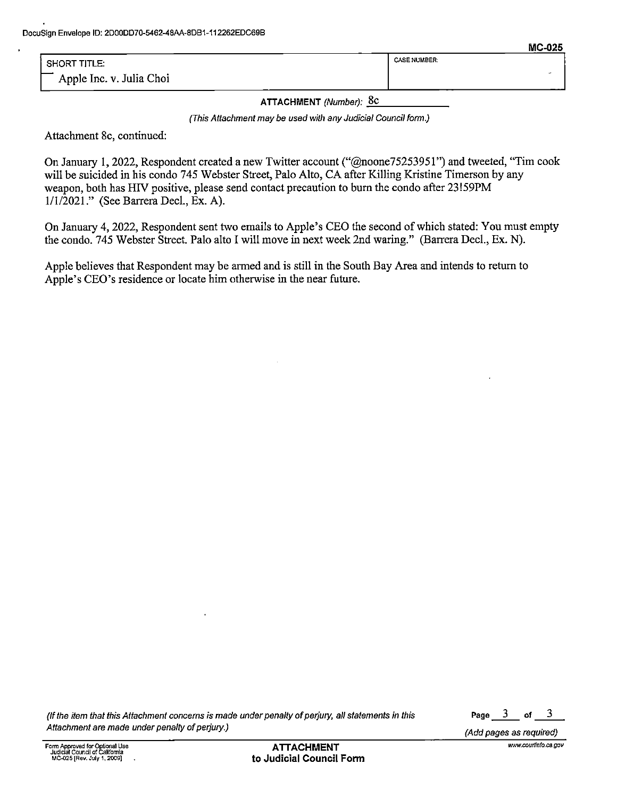|                          |                     | --------- |
|--------------------------|---------------------|-----------|
| SHORT TITLE:             | <b>CASE NUMBER:</b> |           |
| Apple Inc. v. Julia Choi |                     |           |

ATTACHMENT (Number): 8c

(This Attachment may be used with any Judicial Council form.)

Attachment 8c, continued:

On January 1, 2022, Respondent created a new Twitter account ("@noone75253951") and tweeted, "Tim cook will be suicided in his condo <sup>745</sup> Webster Street, Palo Alto, CA after Killing Kristine Timersou by any weapon, both has HIV positive, please send contact precaution to burn the condo after 23!59PM 1/1/2021 ." (See Barrera Decl., Ex. A).

On January 4, 2022, Respondent sent two emails to Apple's CEO the second of which stated: You must empty the condo. 745 Webster Street. Palo alto I will move in next week 2nd waring." (Barrera Decl., Ex. N).

Apple believes that Respondent may be armed and is still in the South Bay Area and intends to return to Apple's CEO's residence 0r locate him otherwise in the near future.

(If the item that this Attachment concerns is made under penalty of perjury, all statements in this Page  $\frac{3}{5}$  of Attachment are made under penalty of perjury.) Attachment are made under the control of the control of the control of the control of the control of the control of the control of the control of the control of the control of

 $\mathbf{3}$ 

MC-025